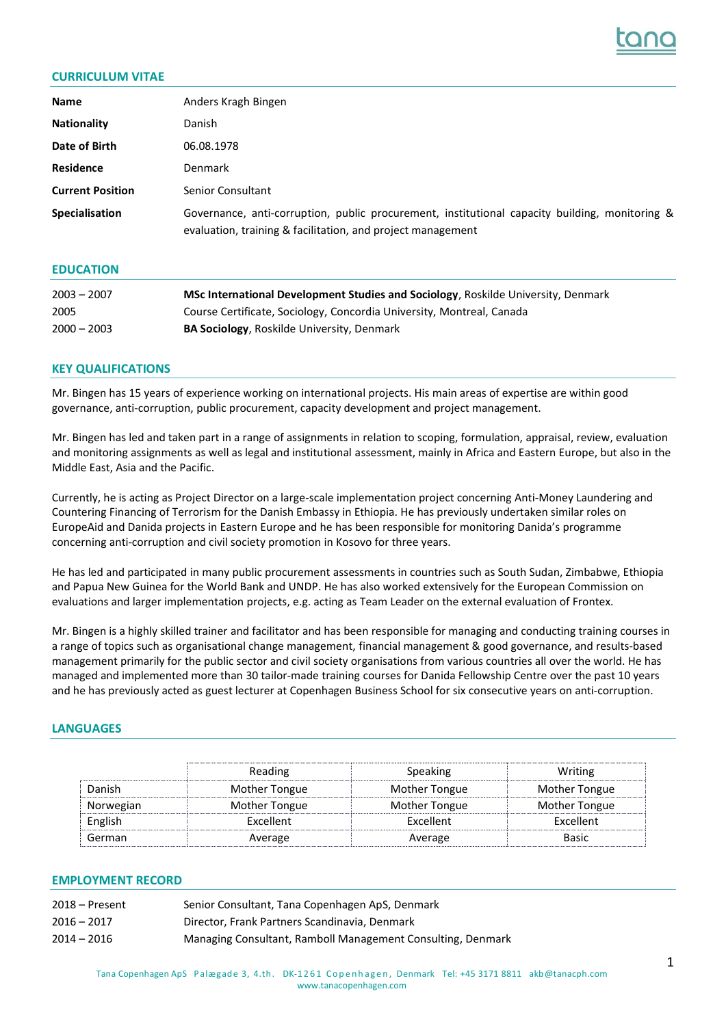

# **CURRICULUM VITAE**

| <b>Name</b>             | Anders Kragh Bingen                                                                                                                                           |
|-------------------------|---------------------------------------------------------------------------------------------------------------------------------------------------------------|
| <b>Nationality</b>      | Danish                                                                                                                                                        |
| Date of Birth           | 06.08.1978                                                                                                                                                    |
| <b>Residence</b>        | Denmark                                                                                                                                                       |
| <b>Current Position</b> | Senior Consultant                                                                                                                                             |
| <b>Specialisation</b>   | Governance, anti-corruption, public procurement, institutional capacity building, monitoring &<br>evaluation, training & facilitation, and project management |

### **EDUCATION**

| $2003 - 2007$ | <b>MSc International Development Studies and Sociology, Roskilde University, Denmark</b> |
|---------------|------------------------------------------------------------------------------------------|
| 2005          | Course Certificate, Sociology, Concordia University, Montreal, Canada                    |
| $2000 - 2003$ | <b>BA Sociology, Roskilde University, Denmark</b>                                        |

#### **KEY QUALIFICATIONS**

Mr. Bingen has 15 years of experience working on international projects. His main areas of expertise are within good governance, anti-corruption, public procurement, capacity development and project management.

Mr. Bingen has led and taken part in a range of assignments in relation to scoping, formulation, appraisal, review, evaluation and monitoring assignments as well as legal and institutional assessment, mainly in Africa and Eastern Europe, but also in the Middle East, Asia and the Pacific.

Currently, he is acting as Project Director on a large-scale implementation project concerning Anti-Money Laundering and Countering Financing of Terrorism for the Danish Embassy in Ethiopia. He has previously undertaken similar roles on EuropeAid and Danida projects in Eastern Europe and he has been responsible for monitoring Danida's programme concerning anti-corruption and civil society promotion in Kosovo for three years.

He has led and participated in many public procurement assessments in countries such as South Sudan, Zimbabwe, Ethiopia and Papua New Guinea for the World Bank and UNDP. He has also worked extensively for the European Commission on evaluations and larger implementation projects, e.g. acting as Team Leader on the external evaluation of Frontex.

Mr. Bingen is a highly skilled trainer and facilitator and has been responsible for managing and conducting training courses in a range of topics such as organisational change management, financial management & good governance, and results-based management primarily for the public sector and civil society organisations from various countries all over the world. He has managed and implemented more than 30 tailor-made training courses for Danida Fellowship Centre over the past 10 years and he has previously acted as guest lecturer at Copenhagen Business School for six consecutive years on anti-corruption.

### **LANGUAGES**

|           | Reading          | <b>Speaking</b>  | Writing          |
|-----------|------------------|------------------|------------------|
| Danish    | Mother Tongue    | Mother Tongue    | Mother Tongue    |
| Norwegian | Mother Tongue    | Mother Tongue    | Mother Tongue    |
| English   | <b>Excellent</b> | <b>Excellent</b> | <b>Excellent</b> |
| German    | Average          | Average          | <b>Basic</b>     |

## **EMPLOYMENT RECORD**

| $2018 -$ Present | Senior Consultant, Tana Copenhagen ApS, Denmark             |
|------------------|-------------------------------------------------------------|
| $2016 - 2017$    | Director, Frank Partners Scandinavia, Denmark               |
| $2014 - 2016$    | Managing Consultant, Ramboll Management Consulting, Denmark |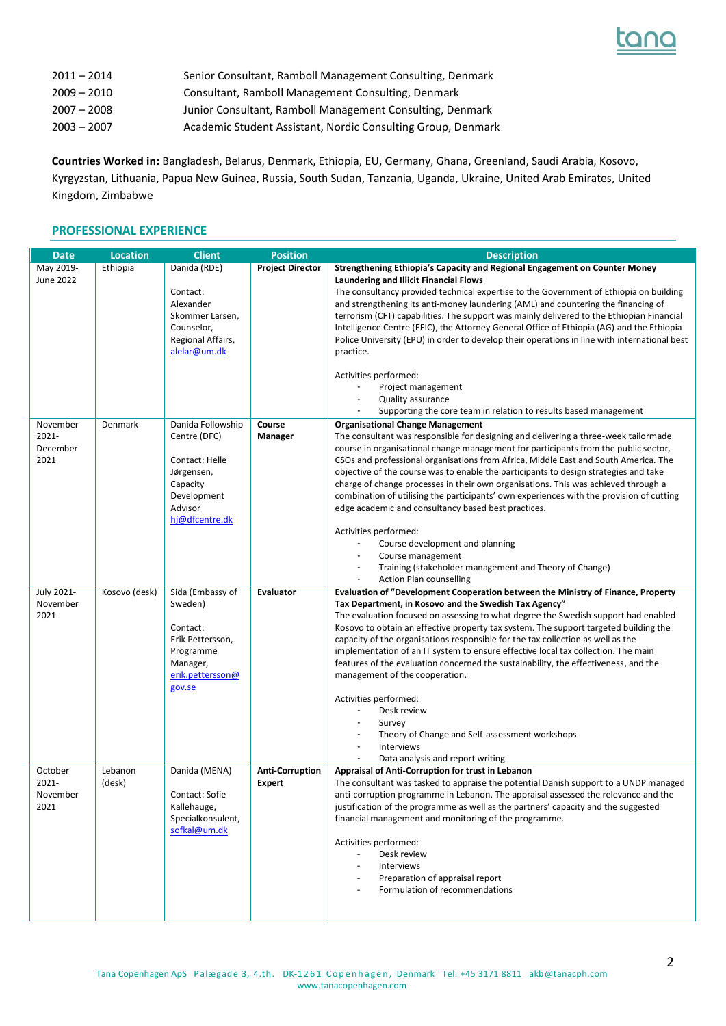

| $2011 - 2014$ | Senior Consultant, Ramboll Management Consulting, Denmark    |
|---------------|--------------------------------------------------------------|
| $2009 - 2010$ | Consultant, Ramboll Management Consulting, Denmark           |
| $2007 - 2008$ | Junior Consultant, Ramboll Management Consulting, Denmark    |
| $2003 - 2007$ | Academic Student Assistant, Nordic Consulting Group, Denmark |

**Countries Worked in:** Bangladesh, Belarus, Denmark, Ethiopia, EU, Germany, Ghana, Greenland, Saudi Arabia, Kosovo, Kyrgyzstan, Lithuania, Papua New Guinea, Russia, South Sudan, Tanzania, Uganda, Ukraine, United Arab Emirates, United Kingdom, Zimbabwe

# **PROFESSIONAL EXPERIENCE**

| May 2019-<br>Danida (RDE)<br><b>Project Director</b><br>Strengthening Ethiopia's Capacity and Regional Engagement on Counter Money<br>Ethiopia<br><b>June 2022</b><br><b>Laundering and Illicit Financial Flows</b><br>Contact:<br>The consultancy provided technical expertise to the Government of Ethiopia on building<br>Alexander<br>and strengthening its anti-money laundering (AML) and countering the financing of<br>Skommer Larsen,<br>terrorism (CFT) capabilities. The support was mainly delivered to the Ethiopian Financial<br>Counselor,<br>Intelligence Centre (EFIC), the Attorney General Office of Ethiopia (AG) and the Ethiopia<br>Regional Affairs,<br>Police University (EPU) in order to develop their operations in line with international best<br>alelar@um.dk<br>practice.<br>Activities performed:<br>Project management<br><b>Quality assurance</b><br>Supporting the core team in relation to results based management<br>Danida Followship<br>November<br>Denmark<br>Course<br><b>Organisational Change Management</b><br>2021-<br>The consultant was responsible for designing and delivering a three-week tailormade<br>Centre (DFC)<br>Manager<br>December<br>course in organisational change management for participants from the public sector,<br>2021<br>Contact: Helle<br>CSOs and professional organisations from Africa, Middle East and South America. The<br>objective of the course was to enable the participants to design strategies and take<br>Jørgensen,<br>Capacity<br>charge of change processes in their own organisations. This was achieved through a<br>Development<br>combination of utilising the participants' own experiences with the provision of cutting |
|----------------------------------------------------------------------------------------------------------------------------------------------------------------------------------------------------------------------------------------------------------------------------------------------------------------------------------------------------------------------------------------------------------------------------------------------------------------------------------------------------------------------------------------------------------------------------------------------------------------------------------------------------------------------------------------------------------------------------------------------------------------------------------------------------------------------------------------------------------------------------------------------------------------------------------------------------------------------------------------------------------------------------------------------------------------------------------------------------------------------------------------------------------------------------------------------------------------------------------------------------------------------------------------------------------------------------------------------------------------------------------------------------------------------------------------------------------------------------------------------------------------------------------------------------------------------------------------------------------------------------------------------------------------------------------------------------------------------------|
|                                                                                                                                                                                                                                                                                                                                                                                                                                                                                                                                                                                                                                                                                                                                                                                                                                                                                                                                                                                                                                                                                                                                                                                                                                                                                                                                                                                                                                                                                                                                                                                                                                                                                                                            |
|                                                                                                                                                                                                                                                                                                                                                                                                                                                                                                                                                                                                                                                                                                                                                                                                                                                                                                                                                                                                                                                                                                                                                                                                                                                                                                                                                                                                                                                                                                                                                                                                                                                                                                                            |
|                                                                                                                                                                                                                                                                                                                                                                                                                                                                                                                                                                                                                                                                                                                                                                                                                                                                                                                                                                                                                                                                                                                                                                                                                                                                                                                                                                                                                                                                                                                                                                                                                                                                                                                            |
|                                                                                                                                                                                                                                                                                                                                                                                                                                                                                                                                                                                                                                                                                                                                                                                                                                                                                                                                                                                                                                                                                                                                                                                                                                                                                                                                                                                                                                                                                                                                                                                                                                                                                                                            |
|                                                                                                                                                                                                                                                                                                                                                                                                                                                                                                                                                                                                                                                                                                                                                                                                                                                                                                                                                                                                                                                                                                                                                                                                                                                                                                                                                                                                                                                                                                                                                                                                                                                                                                                            |
|                                                                                                                                                                                                                                                                                                                                                                                                                                                                                                                                                                                                                                                                                                                                                                                                                                                                                                                                                                                                                                                                                                                                                                                                                                                                                                                                                                                                                                                                                                                                                                                                                                                                                                                            |
|                                                                                                                                                                                                                                                                                                                                                                                                                                                                                                                                                                                                                                                                                                                                                                                                                                                                                                                                                                                                                                                                                                                                                                                                                                                                                                                                                                                                                                                                                                                                                                                                                                                                                                                            |
|                                                                                                                                                                                                                                                                                                                                                                                                                                                                                                                                                                                                                                                                                                                                                                                                                                                                                                                                                                                                                                                                                                                                                                                                                                                                                                                                                                                                                                                                                                                                                                                                                                                                                                                            |
|                                                                                                                                                                                                                                                                                                                                                                                                                                                                                                                                                                                                                                                                                                                                                                                                                                                                                                                                                                                                                                                                                                                                                                                                                                                                                                                                                                                                                                                                                                                                                                                                                                                                                                                            |
|                                                                                                                                                                                                                                                                                                                                                                                                                                                                                                                                                                                                                                                                                                                                                                                                                                                                                                                                                                                                                                                                                                                                                                                                                                                                                                                                                                                                                                                                                                                                                                                                                                                                                                                            |
|                                                                                                                                                                                                                                                                                                                                                                                                                                                                                                                                                                                                                                                                                                                                                                                                                                                                                                                                                                                                                                                                                                                                                                                                                                                                                                                                                                                                                                                                                                                                                                                                                                                                                                                            |
|                                                                                                                                                                                                                                                                                                                                                                                                                                                                                                                                                                                                                                                                                                                                                                                                                                                                                                                                                                                                                                                                                                                                                                                                                                                                                                                                                                                                                                                                                                                                                                                                                                                                                                                            |
|                                                                                                                                                                                                                                                                                                                                                                                                                                                                                                                                                                                                                                                                                                                                                                                                                                                                                                                                                                                                                                                                                                                                                                                                                                                                                                                                                                                                                                                                                                                                                                                                                                                                                                                            |
|                                                                                                                                                                                                                                                                                                                                                                                                                                                                                                                                                                                                                                                                                                                                                                                                                                                                                                                                                                                                                                                                                                                                                                                                                                                                                                                                                                                                                                                                                                                                                                                                                                                                                                                            |
|                                                                                                                                                                                                                                                                                                                                                                                                                                                                                                                                                                                                                                                                                                                                                                                                                                                                                                                                                                                                                                                                                                                                                                                                                                                                                                                                                                                                                                                                                                                                                                                                                                                                                                                            |
|                                                                                                                                                                                                                                                                                                                                                                                                                                                                                                                                                                                                                                                                                                                                                                                                                                                                                                                                                                                                                                                                                                                                                                                                                                                                                                                                                                                                                                                                                                                                                                                                                                                                                                                            |
|                                                                                                                                                                                                                                                                                                                                                                                                                                                                                                                                                                                                                                                                                                                                                                                                                                                                                                                                                                                                                                                                                                                                                                                                                                                                                                                                                                                                                                                                                                                                                                                                                                                                                                                            |
|                                                                                                                                                                                                                                                                                                                                                                                                                                                                                                                                                                                                                                                                                                                                                                                                                                                                                                                                                                                                                                                                                                                                                                                                                                                                                                                                                                                                                                                                                                                                                                                                                                                                                                                            |
|                                                                                                                                                                                                                                                                                                                                                                                                                                                                                                                                                                                                                                                                                                                                                                                                                                                                                                                                                                                                                                                                                                                                                                                                                                                                                                                                                                                                                                                                                                                                                                                                                                                                                                                            |
| Advisor<br>edge academic and consultancy based best practices.                                                                                                                                                                                                                                                                                                                                                                                                                                                                                                                                                                                                                                                                                                                                                                                                                                                                                                                                                                                                                                                                                                                                                                                                                                                                                                                                                                                                                                                                                                                                                                                                                                                             |
| hj@dfcentre.dk                                                                                                                                                                                                                                                                                                                                                                                                                                                                                                                                                                                                                                                                                                                                                                                                                                                                                                                                                                                                                                                                                                                                                                                                                                                                                                                                                                                                                                                                                                                                                                                                                                                                                                             |
| Activities performed:<br>Course development and planning                                                                                                                                                                                                                                                                                                                                                                                                                                                                                                                                                                                                                                                                                                                                                                                                                                                                                                                                                                                                                                                                                                                                                                                                                                                                                                                                                                                                                                                                                                                                                                                                                                                                   |
| Course management                                                                                                                                                                                                                                                                                                                                                                                                                                                                                                                                                                                                                                                                                                                                                                                                                                                                                                                                                                                                                                                                                                                                                                                                                                                                                                                                                                                                                                                                                                                                                                                                                                                                                                          |
| Training (stakeholder management and Theory of Change)                                                                                                                                                                                                                                                                                                                                                                                                                                                                                                                                                                                                                                                                                                                                                                                                                                                                                                                                                                                                                                                                                                                                                                                                                                                                                                                                                                                                                                                                                                                                                                                                                                                                     |
| Action Plan counselling<br>$\blacksquare$                                                                                                                                                                                                                                                                                                                                                                                                                                                                                                                                                                                                                                                                                                                                                                                                                                                                                                                                                                                                                                                                                                                                                                                                                                                                                                                                                                                                                                                                                                                                                                                                                                                                                  |
| July 2021-<br>Kosovo (desk)<br>Sida (Embassy of<br>Evaluator<br>Evaluation of "Development Cooperation between the Ministry of Finance, Property                                                                                                                                                                                                                                                                                                                                                                                                                                                                                                                                                                                                                                                                                                                                                                                                                                                                                                                                                                                                                                                                                                                                                                                                                                                                                                                                                                                                                                                                                                                                                                           |
| November<br>Sweden)<br>Tax Department, in Kosovo and the Swedish Tax Agency"                                                                                                                                                                                                                                                                                                                                                                                                                                                                                                                                                                                                                                                                                                                                                                                                                                                                                                                                                                                                                                                                                                                                                                                                                                                                                                                                                                                                                                                                                                                                                                                                                                               |
| 2021<br>The evaluation focused on assessing to what degree the Swedish support had enabled                                                                                                                                                                                                                                                                                                                                                                                                                                                                                                                                                                                                                                                                                                                                                                                                                                                                                                                                                                                                                                                                                                                                                                                                                                                                                                                                                                                                                                                                                                                                                                                                                                 |
| Contact:<br>Kosovo to obtain an effective property tax system. The support targeted building the                                                                                                                                                                                                                                                                                                                                                                                                                                                                                                                                                                                                                                                                                                                                                                                                                                                                                                                                                                                                                                                                                                                                                                                                                                                                                                                                                                                                                                                                                                                                                                                                                           |
| Erik Pettersson,<br>capacity of the organisations responsible for the tax collection as well as the                                                                                                                                                                                                                                                                                                                                                                                                                                                                                                                                                                                                                                                                                                                                                                                                                                                                                                                                                                                                                                                                                                                                                                                                                                                                                                                                                                                                                                                                                                                                                                                                                        |
| Programme<br>implementation of an IT system to ensure effective local tax collection. The main                                                                                                                                                                                                                                                                                                                                                                                                                                                                                                                                                                                                                                                                                                                                                                                                                                                                                                                                                                                                                                                                                                                                                                                                                                                                                                                                                                                                                                                                                                                                                                                                                             |
| features of the evaluation concerned the sustainability, the effectiveness, and the<br>Manager,                                                                                                                                                                                                                                                                                                                                                                                                                                                                                                                                                                                                                                                                                                                                                                                                                                                                                                                                                                                                                                                                                                                                                                                                                                                                                                                                                                                                                                                                                                                                                                                                                            |
| erik.pettersson@<br>management of the cooperation.                                                                                                                                                                                                                                                                                                                                                                                                                                                                                                                                                                                                                                                                                                                                                                                                                                                                                                                                                                                                                                                                                                                                                                                                                                                                                                                                                                                                                                                                                                                                                                                                                                                                         |
| gov.se                                                                                                                                                                                                                                                                                                                                                                                                                                                                                                                                                                                                                                                                                                                                                                                                                                                                                                                                                                                                                                                                                                                                                                                                                                                                                                                                                                                                                                                                                                                                                                                                                                                                                                                     |
| Activities performed:<br>Desk review<br>$\blacksquare$                                                                                                                                                                                                                                                                                                                                                                                                                                                                                                                                                                                                                                                                                                                                                                                                                                                                                                                                                                                                                                                                                                                                                                                                                                                                                                                                                                                                                                                                                                                                                                                                                                                                     |
| Survey                                                                                                                                                                                                                                                                                                                                                                                                                                                                                                                                                                                                                                                                                                                                                                                                                                                                                                                                                                                                                                                                                                                                                                                                                                                                                                                                                                                                                                                                                                                                                                                                                                                                                                                     |
| Theory of Change and Self-assessment workshops                                                                                                                                                                                                                                                                                                                                                                                                                                                                                                                                                                                                                                                                                                                                                                                                                                                                                                                                                                                                                                                                                                                                                                                                                                                                                                                                                                                                                                                                                                                                                                                                                                                                             |
| Interviews<br>$\blacksquare$                                                                                                                                                                                                                                                                                                                                                                                                                                                                                                                                                                                                                                                                                                                                                                                                                                                                                                                                                                                                                                                                                                                                                                                                                                                                                                                                                                                                                                                                                                                                                                                                                                                                                               |
| Data analysis and report writing                                                                                                                                                                                                                                                                                                                                                                                                                                                                                                                                                                                                                                                                                                                                                                                                                                                                                                                                                                                                                                                                                                                                                                                                                                                                                                                                                                                                                                                                                                                                                                                                                                                                                           |
| Danida (MENA)<br>October<br>Lebanon<br><b>Anti-Corruption</b><br>Appraisal of Anti-Corruption for trust in Lebanon                                                                                                                                                                                                                                                                                                                                                                                                                                                                                                                                                                                                                                                                                                                                                                                                                                                                                                                                                                                                                                                                                                                                                                                                                                                                                                                                                                                                                                                                                                                                                                                                         |
| 2021-<br>(desk)<br>The consultant was tasked to appraise the potential Danish support to a UNDP managed<br><b>Expert</b>                                                                                                                                                                                                                                                                                                                                                                                                                                                                                                                                                                                                                                                                                                                                                                                                                                                                                                                                                                                                                                                                                                                                                                                                                                                                                                                                                                                                                                                                                                                                                                                                   |
| Contact: Sofie<br>anti-corruption programme in Lebanon. The appraisal assessed the relevance and the<br>November                                                                                                                                                                                                                                                                                                                                                                                                                                                                                                                                                                                                                                                                                                                                                                                                                                                                                                                                                                                                                                                                                                                                                                                                                                                                                                                                                                                                                                                                                                                                                                                                           |
| 2021<br>Kallehauge,<br>justification of the programme as well as the partners' capacity and the suggested                                                                                                                                                                                                                                                                                                                                                                                                                                                                                                                                                                                                                                                                                                                                                                                                                                                                                                                                                                                                                                                                                                                                                                                                                                                                                                                                                                                                                                                                                                                                                                                                                  |
| financial management and monitoring of the programme.<br>Specialkonsulent,                                                                                                                                                                                                                                                                                                                                                                                                                                                                                                                                                                                                                                                                                                                                                                                                                                                                                                                                                                                                                                                                                                                                                                                                                                                                                                                                                                                                                                                                                                                                                                                                                                                 |
| sofkal@um.dk                                                                                                                                                                                                                                                                                                                                                                                                                                                                                                                                                                                                                                                                                                                                                                                                                                                                                                                                                                                                                                                                                                                                                                                                                                                                                                                                                                                                                                                                                                                                                                                                                                                                                                               |
| Activities performed:                                                                                                                                                                                                                                                                                                                                                                                                                                                                                                                                                                                                                                                                                                                                                                                                                                                                                                                                                                                                                                                                                                                                                                                                                                                                                                                                                                                                                                                                                                                                                                                                                                                                                                      |
| Desk review<br>$\blacksquare$                                                                                                                                                                                                                                                                                                                                                                                                                                                                                                                                                                                                                                                                                                                                                                                                                                                                                                                                                                                                                                                                                                                                                                                                                                                                                                                                                                                                                                                                                                                                                                                                                                                                                              |
| Interviews<br>$\sim$                                                                                                                                                                                                                                                                                                                                                                                                                                                                                                                                                                                                                                                                                                                                                                                                                                                                                                                                                                                                                                                                                                                                                                                                                                                                                                                                                                                                                                                                                                                                                                                                                                                                                                       |
| Preparation of appraisal report                                                                                                                                                                                                                                                                                                                                                                                                                                                                                                                                                                                                                                                                                                                                                                                                                                                                                                                                                                                                                                                                                                                                                                                                                                                                                                                                                                                                                                                                                                                                                                                                                                                                                            |
| Formulation of recommendations                                                                                                                                                                                                                                                                                                                                                                                                                                                                                                                                                                                                                                                                                                                                                                                                                                                                                                                                                                                                                                                                                                                                                                                                                                                                                                                                                                                                                                                                                                                                                                                                                                                                                             |
|                                                                                                                                                                                                                                                                                                                                                                                                                                                                                                                                                                                                                                                                                                                                                                                                                                                                                                                                                                                                                                                                                                                                                                                                                                                                                                                                                                                                                                                                                                                                                                                                                                                                                                                            |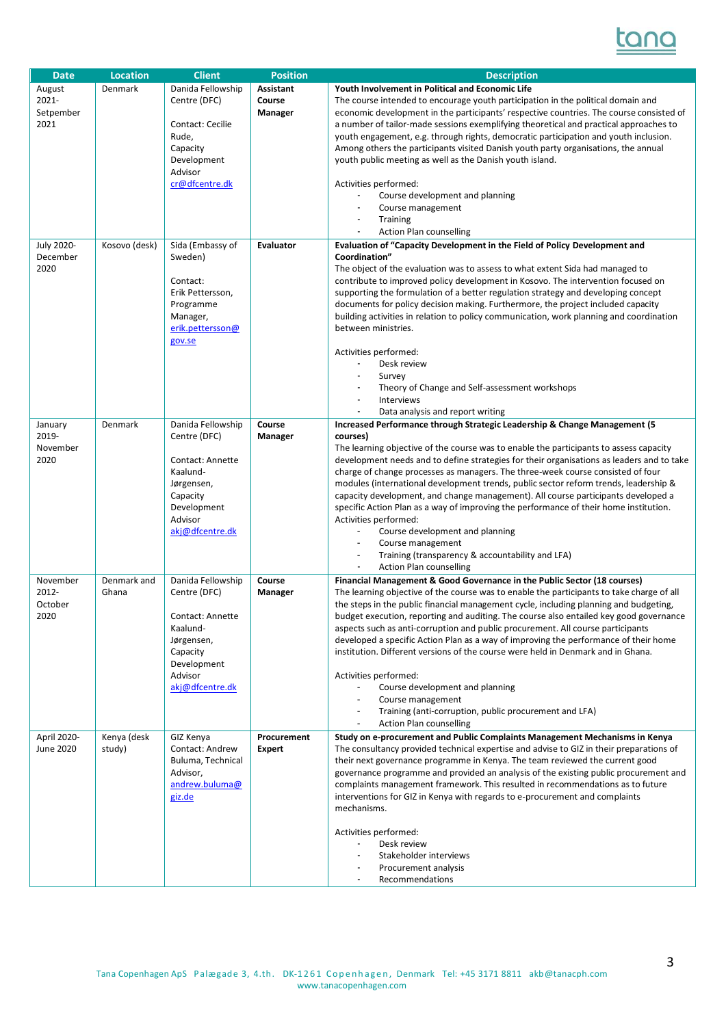

| <b>Date</b><br>August | Location<br>Denmark | <b>Client</b><br>Danida Fellowship | <b>Position</b><br><b>Assistant</b> | <b>Description</b><br>Youth Involvement in Political and Economic Life                                                                                                              |
|-----------------------|---------------------|------------------------------------|-------------------------------------|-------------------------------------------------------------------------------------------------------------------------------------------------------------------------------------|
| 2021-                 |                     | Centre (DFC)                       | Course                              | The course intended to encourage youth participation in the political domain and                                                                                                    |
| Setpember             |                     |                                    | Manager                             | economic development in the participants' respective countries. The course consisted of                                                                                             |
| 2021                  |                     | Contact: Cecilie                   |                                     | a number of tailor-made sessions exemplifying theoretical and practical approaches to                                                                                               |
|                       |                     | Rude,                              |                                     | youth engagement, e.g. through rights, democratic participation and youth inclusion.                                                                                                |
|                       |                     | Capacity                           |                                     | Among others the participants visited Danish youth party organisations, the annual                                                                                                  |
|                       |                     | Development                        |                                     | youth public meeting as well as the Danish youth island.                                                                                                                            |
|                       |                     | Advisor<br>cr@dfcentre.dk          |                                     | Activities performed:                                                                                                                                                               |
|                       |                     |                                    |                                     | Course development and planning                                                                                                                                                     |
|                       |                     |                                    |                                     | Course management                                                                                                                                                                   |
|                       |                     |                                    |                                     | <b>Training</b>                                                                                                                                                                     |
|                       |                     |                                    |                                     | <b>Action Plan counselling</b>                                                                                                                                                      |
| July 2020-            | Kosovo (desk)       | Sida (Embassy of                   | <b>Evaluator</b>                    | Evaluation of "Capacity Development in the Field of Policy Development and                                                                                                          |
| December              |                     | Sweden)                            |                                     | Coordination"                                                                                                                                                                       |
| 2020                  |                     | Contact:                           |                                     | The object of the evaluation was to assess to what extent Sida had managed to<br>contribute to improved policy development in Kosovo. The intervention focused on                   |
|                       |                     | Erik Pettersson,                   |                                     | supporting the formulation of a better regulation strategy and developing concept                                                                                                   |
|                       |                     | Programme                          |                                     | documents for policy decision making. Furthermore, the project included capacity                                                                                                    |
|                       |                     | Manager,                           |                                     | building activities in relation to policy communication, work planning and coordination                                                                                             |
|                       |                     | erik.pettersson@                   |                                     | between ministries.                                                                                                                                                                 |
|                       |                     | gov.se                             |                                     |                                                                                                                                                                                     |
|                       |                     |                                    |                                     | Activities performed:                                                                                                                                                               |
|                       |                     |                                    |                                     | Desk review<br>$\blacksquare$<br>Survey                                                                                                                                             |
|                       |                     |                                    |                                     | Theory of Change and Self-assessment workshops                                                                                                                                      |
|                       |                     |                                    |                                     | <b>Interviews</b><br>$\blacksquare$                                                                                                                                                 |
|                       |                     |                                    |                                     | Data analysis and report writing                                                                                                                                                    |
| January               | Denmark             | Danida Fellowship                  | Course                              | Increased Performance through Strategic Leadership & Change Management (5                                                                                                           |
| 2019-                 |                     | Centre (DFC)                       | Manager                             | courses)                                                                                                                                                                            |
| November<br>2020      |                     | Contact: Annette                   |                                     | The learning objective of the course was to enable the participants to assess capacity<br>development needs and to define strategies for their organisations as leaders and to take |
|                       |                     | Kaalund-                           |                                     | charge of change processes as managers. The three-week course consisted of four                                                                                                     |
|                       |                     | Jørgensen,                         |                                     | modules (international development trends, public sector reform trends, leadership &                                                                                                |
|                       |                     | Capacity                           |                                     | capacity development, and change management). All course participants developed a                                                                                                   |
|                       |                     | Development                        |                                     | specific Action Plan as a way of improving the performance of their home institution.                                                                                               |
|                       |                     | Advisor                            |                                     | Activities performed:                                                                                                                                                               |
|                       |                     | akj@dfcentre.dk                    |                                     | Course development and planning                                                                                                                                                     |
|                       |                     |                                    |                                     | Course management<br>Training (transparency & accountability and LFA)<br>$\overline{\phantom{a}}$                                                                                   |
|                       |                     |                                    |                                     | <b>Action Plan counselling</b>                                                                                                                                                      |
| November              | Denmark and         | Danida Fellowship                  | Course                              | Financial Management & Good Governance in the Public Sector (18 courses)                                                                                                            |
| 2012-                 | Ghana               | Centre (DFC)                       | Manager                             | The learning objective of the course was to enable the participants to take charge of all                                                                                           |
| October               |                     |                                    |                                     | the steps in the public financial management cycle, including planning and budgeting,                                                                                               |
| 2020                  |                     | Contact: Annette                   |                                     | budget execution, reporting and auditing. The course also entailed key good governance                                                                                              |
|                       |                     | Kaalund-                           |                                     | aspects such as anti-corruption and public procurement. All course participants<br>developed a specific Action Plan as a way of improving the performance of their home             |
|                       |                     | Jørgensen,<br>Capacity             |                                     | institution. Different versions of the course were held in Denmark and in Ghana.                                                                                                    |
|                       |                     | Development                        |                                     |                                                                                                                                                                                     |
|                       |                     | Advisor                            |                                     | Activities performed:                                                                                                                                                               |
|                       |                     | akj@dfcentre.dk                    |                                     | Course development and planning                                                                                                                                                     |
|                       |                     |                                    |                                     | Course management                                                                                                                                                                   |
|                       |                     |                                    |                                     | Training (anti-corruption, public procurement and LFA)<br><b>Action Plan counselling</b>                                                                                            |
| April 2020-           | Kenya (desk         | GIZ Kenya                          | Procurement                         | Study on e-procurement and Public Complaints Management Mechanisms in Kenya                                                                                                         |
| June 2020             | study)              | Contact: Andrew                    | <b>Expert</b>                       | The consultancy provided technical expertise and advise to GIZ in their preparations of                                                                                             |
|                       |                     | Buluma, Technical                  |                                     | their next governance programme in Kenya. The team reviewed the current good                                                                                                        |
|                       |                     | Advisor,                           |                                     | governance programme and provided an analysis of the existing public procurement and                                                                                                |
|                       |                     | andrew.buluma@                     |                                     | complaints management framework. This resulted in recommendations as to future                                                                                                      |
|                       |                     | giz.de                             |                                     | interventions for GIZ in Kenya with regards to e-procurement and complaints                                                                                                         |
|                       |                     |                                    |                                     | mechanisms.                                                                                                                                                                         |
|                       |                     |                                    |                                     | Activities performed:                                                                                                                                                               |
|                       |                     |                                    |                                     | Desk review                                                                                                                                                                         |
|                       |                     |                                    |                                     | Stakeholder interviews                                                                                                                                                              |
|                       |                     |                                    |                                     | Procurement analysis                                                                                                                                                                |
|                       |                     |                                    |                                     | Recommendations                                                                                                                                                                     |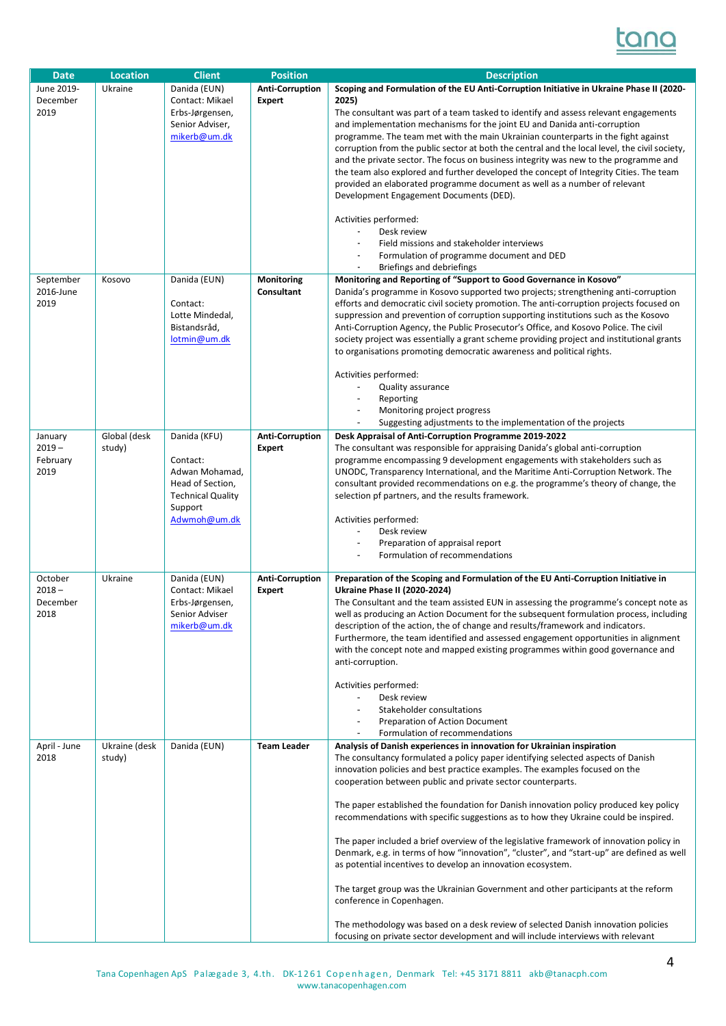

| <b>Date</b>  | <b>Location</b> | <b>Client</b>                  | <b>Position</b>        | <b>Description</b>                                                                                                                                                                    |
|--------------|-----------------|--------------------------------|------------------------|---------------------------------------------------------------------------------------------------------------------------------------------------------------------------------------|
| June 2019-   | Ukraine         | Danida (EUN)                   | <b>Anti-Corruption</b> | Scoping and Formulation of the EU Anti-Corruption Initiative in Ukraine Phase II (2020-                                                                                               |
| December     |                 | Contact: Mikael                | <b>Expert</b>          | 2025)                                                                                                                                                                                 |
| 2019         |                 | Erbs-Jørgensen,                |                        | The consultant was part of a team tasked to identify and assess relevant engagements                                                                                                  |
|              |                 | Senior Adviser,                |                        | and implementation mechanisms for the joint EU and Danida anti-corruption                                                                                                             |
|              |                 | mikerb@um.dk                   |                        | programme. The team met with the main Ukrainian counterparts in the fight against                                                                                                     |
|              |                 |                                |                        | corruption from the public sector at both the central and the local level, the civil society,                                                                                         |
|              |                 |                                |                        | and the private sector. The focus on business integrity was new to the programme and                                                                                                  |
|              |                 |                                |                        | the team also explored and further developed the concept of Integrity Cities. The team                                                                                                |
|              |                 |                                |                        | provided an elaborated programme document as well as a number of relevant                                                                                                             |
|              |                 |                                |                        | Development Engagement Documents (DED).                                                                                                                                               |
|              |                 |                                |                        |                                                                                                                                                                                       |
|              |                 |                                |                        | Activities performed:                                                                                                                                                                 |
|              |                 |                                |                        | Desk review<br>Field missions and stakeholder interviews                                                                                                                              |
|              |                 |                                |                        | Formulation of programme document and DED                                                                                                                                             |
|              |                 |                                |                        | Briefings and debriefings                                                                                                                                                             |
| September    | Kosovo          | Danida (EUN)                   | Monitoring             | Monitoring and Reporting of "Support to Good Governance in Kosovo"                                                                                                                    |
| 2016-June    |                 |                                | Consultant             | Danida's programme in Kosovo supported two projects; strengthening anti-corruption                                                                                                    |
| 2019         |                 | Contact:                       |                        | efforts and democratic civil society promotion. The anti-corruption projects focused on                                                                                               |
|              |                 | Lotte Mindedal,                |                        | suppression and prevention of corruption supporting institutions such as the Kosovo                                                                                                   |
|              |                 | Bistandsråd,                   |                        | Anti-Corruption Agency, the Public Prosecutor's Office, and Kosovo Police. The civil                                                                                                  |
|              |                 | lotmin@um.dk                   |                        | society project was essentially a grant scheme providing project and institutional grants                                                                                             |
|              |                 |                                |                        | to organisations promoting democratic awareness and political rights.                                                                                                                 |
|              |                 |                                |                        |                                                                                                                                                                                       |
|              |                 |                                |                        | Activities performed:<br>Quality assurance                                                                                                                                            |
|              |                 |                                |                        | Reporting<br>$\overline{\phantom{a}}$                                                                                                                                                 |
|              |                 |                                |                        | Monitoring project progress<br>$\overline{\phantom{a}}$                                                                                                                               |
|              |                 |                                |                        | Suggesting adjustments to the implementation of the projects                                                                                                                          |
| January      | Global (desk    | Danida (KFU)                   | <b>Anti-Corruption</b> | Desk Appraisal of Anti-Corruption Programme 2019-2022                                                                                                                                 |
| $2019 -$     | study)          |                                | <b>Expert</b>          | The consultant was responsible for appraising Danida's global anti-corruption                                                                                                         |
| February     |                 | Contact:                       |                        | programme encompassing 9 development engagements with stakeholders such as                                                                                                            |
| 2019         |                 | Adwan Mohamad,                 |                        | UNODC, Transparency International, and the Maritime Anti-Corruption Network. The                                                                                                      |
|              |                 | Head of Section,               |                        | consultant provided recommendations on e.g. the programme's theory of change, the                                                                                                     |
|              |                 | <b>Technical Quality</b>       |                        | selection pf partners, and the results framework.                                                                                                                                     |
|              |                 | Support                        |                        |                                                                                                                                                                                       |
|              |                 | Adwmoh@um.dk                   |                        | Activities performed:<br>Desk review                                                                                                                                                  |
|              |                 |                                |                        | Preparation of appraisal report<br>$\blacksquare$                                                                                                                                     |
|              |                 |                                |                        | Formulation of recommendations                                                                                                                                                        |
|              |                 |                                |                        |                                                                                                                                                                                       |
| October      | Ukraine         | Danida (EUN)                   | <b>Anti-Corruption</b> | Preparation of the Scoping and Formulation of the EU Anti-Corruption Initiative in                                                                                                    |
| $2018 -$     |                 | Contact: Mikael                | <b>Expert</b>          | <b>Ukraine Phase II (2020-2024)</b>                                                                                                                                                   |
| December     |                 | Erbs-Jørgensen,                |                        | The Consultant and the team assisted EUN in assessing the programme's concept note as                                                                                                 |
| 2018         |                 | Senior Adviser<br>mikerb@um.dk |                        | well as producing an Action Document for the subsequent formulation process, including<br>description of the action, the of change and results/framework and indicators.              |
|              |                 |                                |                        | Furthermore, the team identified and assessed engagement opportunities in alignment                                                                                                   |
|              |                 |                                |                        | with the concept note and mapped existing programmes within good governance and                                                                                                       |
|              |                 |                                |                        | anti-corruption.                                                                                                                                                                      |
|              |                 |                                |                        |                                                                                                                                                                                       |
|              |                 |                                |                        | Activities performed:                                                                                                                                                                 |
|              |                 |                                |                        | Desk review                                                                                                                                                                           |
|              |                 |                                |                        | Stakeholder consultations                                                                                                                                                             |
|              |                 |                                |                        | Preparation of Action Document<br>Formulation of recommendations<br>$\blacksquare$                                                                                                    |
| April - June | Ukraine (desk   | Danida (EUN)                   | <b>Team Leader</b>     | Analysis of Danish experiences in innovation for Ukrainian inspiration                                                                                                                |
| 2018         | study)          |                                |                        | The consultancy formulated a policy paper identifying selected aspects of Danish                                                                                                      |
|              |                 |                                |                        | innovation policies and best practice examples. The examples focused on the                                                                                                           |
|              |                 |                                |                        | cooperation between public and private sector counterparts.                                                                                                                           |
|              |                 |                                |                        |                                                                                                                                                                                       |
|              |                 |                                |                        | The paper established the foundation for Danish innovation policy produced key policy                                                                                                 |
|              |                 |                                |                        | recommendations with specific suggestions as to how they Ukraine could be inspired.                                                                                                   |
|              |                 |                                |                        |                                                                                                                                                                                       |
|              |                 |                                |                        | The paper included a brief overview of the legislative framework of innovation policy in<br>Denmark, e.g. in terms of how "innovation", "cluster", and "start-up" are defined as well |
|              |                 |                                |                        | as potential incentives to develop an innovation ecosystem.                                                                                                                           |
|              |                 |                                |                        |                                                                                                                                                                                       |
|              |                 |                                |                        | The target group was the Ukrainian Government and other participants at the reform                                                                                                    |
|              |                 |                                |                        | conference in Copenhagen.                                                                                                                                                             |
|              |                 |                                |                        |                                                                                                                                                                                       |
|              |                 |                                |                        | The methodology was based on a desk review of selected Danish innovation policies<br>focusing on private sector development and will include interviews with relevant                 |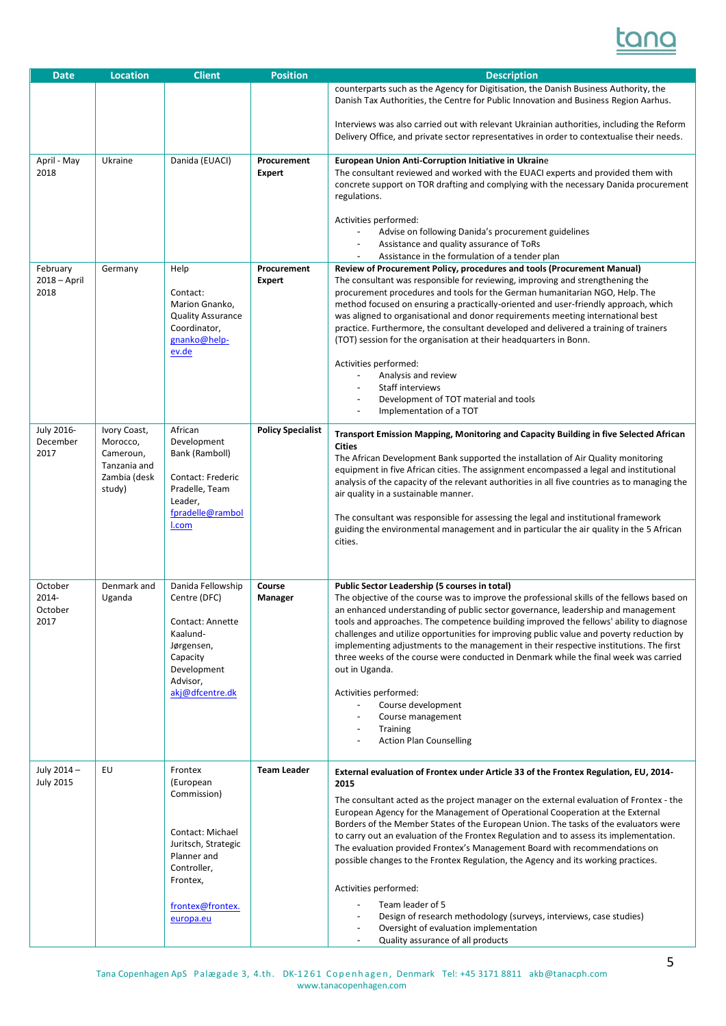

| <b>Date</b>                           | <b>Location</b>                                                                 | <b>Client</b>                                                                                                                                             | <b>Position</b>              | <b>Description</b>                                                                                                                                                                                                                                                                                                                                                                                                                                                                                                                                                                                                                                                                                                                                                                                                                                |
|---------------------------------------|---------------------------------------------------------------------------------|-----------------------------------------------------------------------------------------------------------------------------------------------------------|------------------------------|---------------------------------------------------------------------------------------------------------------------------------------------------------------------------------------------------------------------------------------------------------------------------------------------------------------------------------------------------------------------------------------------------------------------------------------------------------------------------------------------------------------------------------------------------------------------------------------------------------------------------------------------------------------------------------------------------------------------------------------------------------------------------------------------------------------------------------------------------|
|                                       |                                                                                 |                                                                                                                                                           |                              | counterparts such as the Agency for Digitisation, the Danish Business Authority, the<br>Danish Tax Authorities, the Centre for Public Innovation and Business Region Aarhus.<br>Interviews was also carried out with relevant Ukrainian authorities, including the Reform                                                                                                                                                                                                                                                                                                                                                                                                                                                                                                                                                                         |
|                                       |                                                                                 |                                                                                                                                                           |                              | Delivery Office, and private sector representatives in order to contextualise their needs.                                                                                                                                                                                                                                                                                                                                                                                                                                                                                                                                                                                                                                                                                                                                                        |
| April - May<br>2018                   | Ukraine                                                                         | Danida (EUACI)                                                                                                                                            | Procurement<br><b>Expert</b> | European Union Anti-Corruption Initiative in Ukraine<br>The consultant reviewed and worked with the EUACI experts and provided them with<br>concrete support on TOR drafting and complying with the necessary Danida procurement<br>regulations.<br>Activities performed:                                                                                                                                                                                                                                                                                                                                                                                                                                                                                                                                                                         |
|                                       |                                                                                 |                                                                                                                                                           |                              | Advise on following Danida's procurement guidelines<br>Assistance and quality assurance of ToRs<br>Assistance in the formulation of a tender plan                                                                                                                                                                                                                                                                                                                                                                                                                                                                                                                                                                                                                                                                                                 |
| February<br>$2018 - April$<br>2018    | Germany                                                                         | Help<br>Contact:<br>Marion Gnanko,<br><b>Quality Assurance</b><br>Coordinator,<br>gnanko@help-<br>ev.de                                                   | Procurement<br><b>Expert</b> | Review of Procurement Policy, procedures and tools (Procurement Manual)<br>The consultant was responsible for reviewing, improving and strengthening the<br>procurement procedures and tools for the German humanitarian NGO, Help. The<br>method focused on ensuring a practically-oriented and user-friendly approach, which<br>was aligned to organisational and donor requirements meeting international best<br>practice. Furthermore, the consultant developed and delivered a training of trainers<br>(TOT) session for the organisation at their headquarters in Bonn.<br>Activities performed:<br>Analysis and review<br>Staff interviews<br>Development of TOT material and tools<br>Implementation of a TOT                                                                                                                            |
| <b>July 2016-</b><br>December<br>2017 | Ivory Coast,<br>Morocco,<br>Cameroun,<br>Tanzania and<br>Zambia (desk<br>study) | African<br>Development<br>Bank (Ramboll)<br>Contact: Frederic<br>Pradelle, Team<br>Leader,<br>fpradelle@rambol<br>I.com                                   | <b>Policy Specialist</b>     | Transport Emission Mapping, Monitoring and Capacity Building in five Selected African<br><b>Cities</b><br>The African Development Bank supported the installation of Air Quality monitoring<br>equipment in five African cities. The assignment encompassed a legal and institutional<br>analysis of the capacity of the relevant authorities in all five countries as to managing the<br>air quality in a sustainable manner.<br>The consultant was responsible for assessing the legal and institutional framework<br>guiding the environmental management and in particular the air quality in the 5 African<br>cities.                                                                                                                                                                                                                        |
| October<br>2014-<br>October<br>2017   | Denmark and<br>Uganda                                                           | Danida Fellowship<br>Centre (DFC)<br>Contact: Annette<br>Kaalund-<br>Jørgensen,<br>Capacity<br>Development<br>Advisor,<br>akj@dfcentre.dk                 | Course<br>Manager            | Public Sector Leadership (5 courses in total)<br>The objective of the course was to improve the professional skills of the fellows based on<br>an enhanced understanding of public sector governance, leadership and management<br>tools and approaches. The competence building improved the fellows' ability to diagnose<br>challenges and utilize opportunities for improving public value and poverty reduction by<br>implementing adjustments to the management in their respective institutions. The first<br>three weeks of the course were conducted in Denmark while the final week was carried<br>out in Uganda.<br>Activities performed:<br>Course development<br>Course management<br><b>Training</b><br><b>Action Plan Counselling</b>                                                                                               |
| July 2014 -<br><b>July 2015</b>       | EU                                                                              | Frontex<br>(European<br>Commission)<br>Contact: Michael<br>Juritsch, Strategic<br>Planner and<br>Controller,<br>Frontex,<br>frontex@frontex.<br>europa.eu | <b>Team Leader</b>           | External evaluation of Frontex under Article 33 of the Frontex Regulation, EU, 2014-<br>2015<br>The consultant acted as the project manager on the external evaluation of Frontex - the<br>European Agency for the Management of Operational Cooperation at the External<br>Borders of the Member States of the European Union. The tasks of the evaluators were<br>to carry out an evaluation of the Frontex Regulation and to assess its implementation.<br>The evaluation provided Frontex's Management Board with recommendations on<br>possible changes to the Frontex Regulation, the Agency and its working practices.<br>Activities performed:<br>Team leader of 5<br>Design of research methodology (surveys, interviews, case studies)<br>Oversight of evaluation implementation<br>Quality assurance of all products<br>$\blacksquare$ |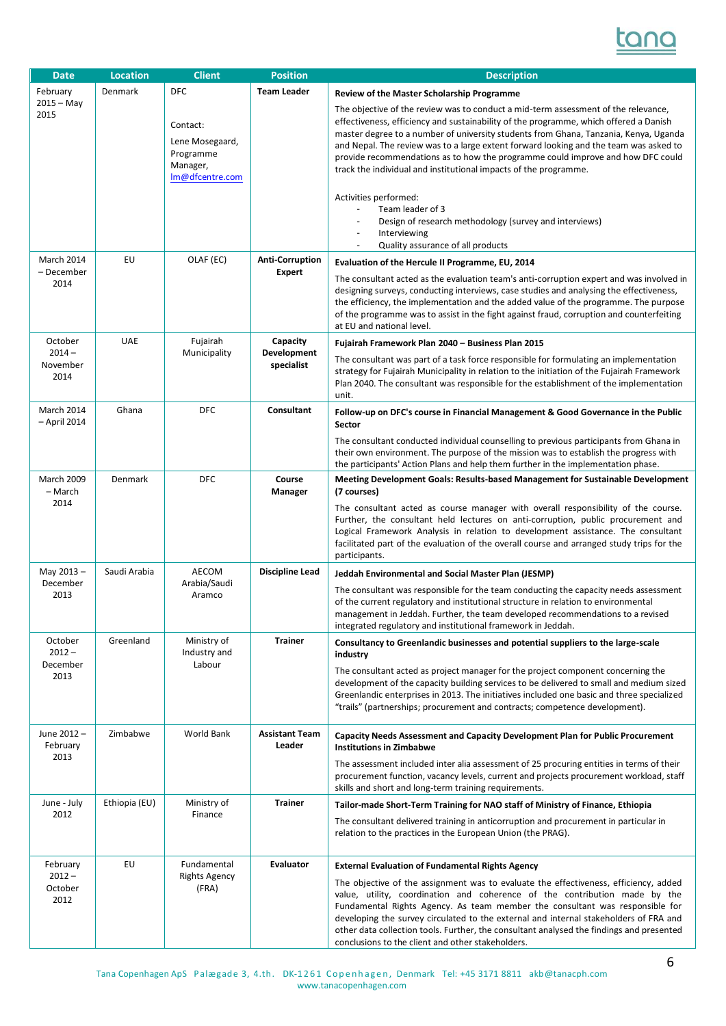

| <b>Date</b>                             | <b>Location</b> | <b>Client</b>                                                           | <b>Position</b>                         | <b>Description</b>                                                                                                                                                                                                                                                                                                                                                                                                                                                                                                  |
|-----------------------------------------|-----------------|-------------------------------------------------------------------------|-----------------------------------------|---------------------------------------------------------------------------------------------------------------------------------------------------------------------------------------------------------------------------------------------------------------------------------------------------------------------------------------------------------------------------------------------------------------------------------------------------------------------------------------------------------------------|
| February                                | Denmark         | <b>DFC</b>                                                              | <b>Team Leader</b>                      | <b>Review of the Master Scholarship Programme</b>                                                                                                                                                                                                                                                                                                                                                                                                                                                                   |
| $2015 - May$<br>2015                    |                 | Contact:<br>Lene Mosegaard,<br>Programme<br>Manager,<br>Im@dfcentre.com |                                         | The objective of the review was to conduct a mid-term assessment of the relevance,<br>effectiveness, efficiency and sustainability of the programme, which offered a Danish<br>master degree to a number of university students from Ghana, Tanzania, Kenya, Uganda<br>and Nepal. The review was to a large extent forward looking and the team was asked to<br>provide recommendations as to how the programme could improve and how DFC could<br>track the individual and institutional impacts of the programme. |
|                                         |                 |                                                                         |                                         | Activities performed:<br>Team leader of 3<br>Design of research methodology (survey and interviews)<br>$\blacksquare$<br>Interviewing<br>Quality assurance of all products                                                                                                                                                                                                                                                                                                                                          |
| <b>March 2014</b><br>– December<br>2014 | EU              | OLAF (EC)                                                               | <b>Anti-Corruption</b><br><b>Expert</b> | Evaluation of the Hercule II Programme, EU, 2014<br>The consultant acted as the evaluation team's anti-corruption expert and was involved in<br>designing surveys, conducting interviews, case studies and analysing the effectiveness,<br>the efficiency, the implementation and the added value of the programme. The purpose                                                                                                                                                                                     |
|                                         |                 |                                                                         |                                         | of the programme was to assist in the fight against fraud, corruption and counterfeiting<br>at EU and national level.                                                                                                                                                                                                                                                                                                                                                                                               |
| October<br>$2014 -$                     | <b>UAE</b>      | Fujairah<br>Municipality                                                | Capacity<br>Development                 | Fujairah Framework Plan 2040 - Business Plan 2015                                                                                                                                                                                                                                                                                                                                                                                                                                                                   |
| November<br>2014                        |                 |                                                                         | specialist                              | The consultant was part of a task force responsible for formulating an implementation<br>strategy for Fujairah Municipality in relation to the initiation of the Fujairah Framework<br>Plan 2040. The consultant was responsible for the establishment of the implementation<br>unit.                                                                                                                                                                                                                               |
| March 2014<br>- April 2014              | Ghana           | <b>DFC</b>                                                              | Consultant                              | Follow-up on DFC's course in Financial Management & Good Governance in the Public<br>Sector                                                                                                                                                                                                                                                                                                                                                                                                                         |
|                                         |                 |                                                                         |                                         | The consultant conducted individual counselling to previous participants from Ghana in<br>their own environment. The purpose of the mission was to establish the progress with<br>the participants' Action Plans and help them further in the implementation phase.                                                                                                                                                                                                                                                 |
| <b>March 2009</b><br>- March            | Denmark         | <b>DFC</b>                                                              | Course<br>Manager                       | <b>Meeting Development Goals: Results-based Management for Sustainable Development</b><br>(7 courses)                                                                                                                                                                                                                                                                                                                                                                                                               |
| 2014                                    |                 |                                                                         |                                         | The consultant acted as course manager with overall responsibility of the course.<br>Further, the consultant held lectures on anti-corruption, public procurement and<br>Logical Framework Analysis in relation to development assistance. The consultant<br>facilitated part of the evaluation of the overall course and arranged study trips for the<br>participants.                                                                                                                                             |
| May 2013-                               | Saudi Arabia    | AECOM                                                                   | <b>Discipline Lead</b>                  | Jeddah Environmental and Social Master Plan (JESMP)                                                                                                                                                                                                                                                                                                                                                                                                                                                                 |
| December<br>2013                        |                 | Arabia/Saudi<br>Aramco                                                  |                                         | The consultant was responsible for the team conducting the capacity needs assessment<br>of the current regulatory and institutional structure in relation to environmental<br>management in Jeddah. Further, the team developed recommendations to a revised<br>integrated regulatory and institutional framework in Jeddah.                                                                                                                                                                                        |
| October<br>$2012 -$                     | Greenland       | Ministry of<br>Industry and                                             | <b>Trainer</b>                          | Consultancy to Greenlandic businesses and potential suppliers to the large-scale<br>industry                                                                                                                                                                                                                                                                                                                                                                                                                        |
| December<br>2013                        |                 | Labour                                                                  |                                         | The consultant acted as project manager for the project component concerning the<br>development of the capacity building services to be delivered to small and medium sized<br>Greenlandic enterprises in 2013. The initiatives included one basic and three specialized<br>"trails" (partnerships; procurement and contracts; competence development).                                                                                                                                                             |
| June 2012-<br>February                  | Zimbabwe        | World Bank                                                              | <b>Assistant Team</b><br>Leader         | Capacity Needs Assessment and Capacity Development Plan for Public Procurement<br><b>Institutions in Zimbabwe</b>                                                                                                                                                                                                                                                                                                                                                                                                   |
| 2013                                    |                 |                                                                         |                                         | The assessment included inter alia assessment of 25 procuring entities in terms of their<br>procurement function, vacancy levels, current and projects procurement workload, staff<br>skills and short and long-term training requirements.                                                                                                                                                                                                                                                                         |
| June - July                             | Ethiopia (EU)   | Ministry of                                                             | <b>Trainer</b>                          | Tailor-made Short-Term Training for NAO staff of Ministry of Finance, Ethiopia                                                                                                                                                                                                                                                                                                                                                                                                                                      |
| 2012                                    |                 | Finance                                                                 |                                         | The consultant delivered training in anticorruption and procurement in particular in<br>relation to the practices in the European Union (the PRAG).                                                                                                                                                                                                                                                                                                                                                                 |
| February                                | EU              | Fundamental                                                             | <b>Evaluator</b>                        | <b>External Evaluation of Fundamental Rights Agency</b>                                                                                                                                                                                                                                                                                                                                                                                                                                                             |
| $2012 -$<br>October<br>2012             |                 | <b>Rights Agency</b><br>(FRA)                                           |                                         | The objective of the assignment was to evaluate the effectiveness, efficiency, added<br>value, utility, coordination and coherence of the contribution made by the<br>Fundamental Rights Agency. As team member the consultant was responsible for<br>developing the survey circulated to the external and internal stakeholders of FRA and<br>other data collection tools. Further, the consultant analysed the findings and presented<br>conclusions to the client and other stakeholders.                        |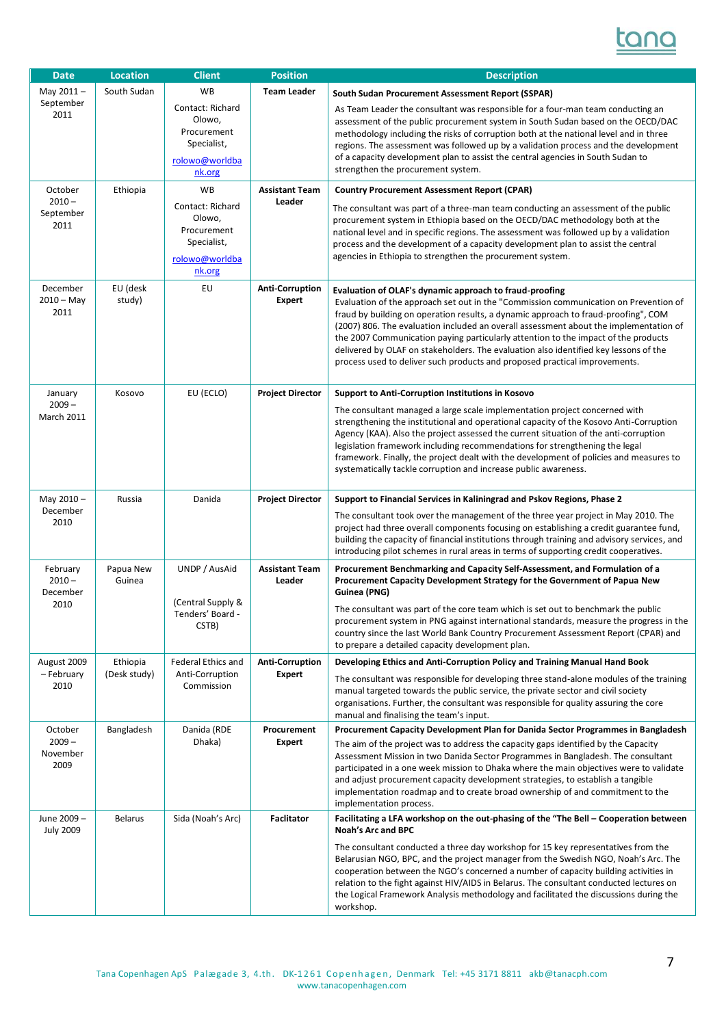

| <b>Date</b>                      | <b>Location</b>     | <b>Client</b>                                                                        | <b>Position</b>                         | <b>Description</b>                                                                                                                                                                                                                                                                                                                                                                                                                                                                                                                                                                         |
|----------------------------------|---------------------|--------------------------------------------------------------------------------------|-----------------------------------------|--------------------------------------------------------------------------------------------------------------------------------------------------------------------------------------------------------------------------------------------------------------------------------------------------------------------------------------------------------------------------------------------------------------------------------------------------------------------------------------------------------------------------------------------------------------------------------------------|
| May 2011-                        | South Sudan         | <b>WB</b>                                                                            | <b>Team Leader</b>                      | South Sudan Procurement Assessment Report (SSPAR)                                                                                                                                                                                                                                                                                                                                                                                                                                                                                                                                          |
| September<br>2011                |                     | Contact: Richard<br>Olowo,<br>Procurement<br>Specialist,<br>rolowo@worldba<br>nk.org |                                         | As Team Leader the consultant was responsible for a four-man team conducting an<br>assessment of the public procurement system in South Sudan based on the OECD/DAC<br>methodology including the risks of corruption both at the national level and in three<br>regions. The assessment was followed up by a validation process and the development<br>of a capacity development plan to assist the central agencies in South Sudan to<br>strengthen the procurement system.                                                                                                               |
| October                          | Ethiopia            | <b>WB</b>                                                                            | <b>Assistant Team</b>                   | <b>Country Procurement Assessment Report (CPAR)</b>                                                                                                                                                                                                                                                                                                                                                                                                                                                                                                                                        |
| $2010 -$<br>September<br>2011    |                     | Contact: Richard<br>Olowo,<br>Procurement<br>Specialist,<br>rolowo@worldba<br>nk.org | Leader                                  | The consultant was part of a three-man team conducting an assessment of the public<br>procurement system in Ethiopia based on the OECD/DAC methodology both at the<br>national level and in specific regions. The assessment was followed up by a validation<br>process and the development of a capacity development plan to assist the central<br>agencies in Ethiopia to strengthen the procurement system.                                                                                                                                                                             |
| December<br>$2010 - May$<br>2011 | EU (desk<br>study)  | EU                                                                                   | <b>Anti-Corruption</b><br><b>Expert</b> | Evaluation of OLAF's dynamic approach to fraud-proofing<br>Evaluation of the approach set out in the "Commission communication on Prevention of<br>fraud by building on operation results, a dynamic approach to fraud-proofing", COM<br>(2007) 806. The evaluation included an overall assessment about the implementation of<br>the 2007 Communication paying particularly attention to the impact of the products<br>delivered by OLAF on stakeholders. The evaluation also identified key lessons of the<br>process used to deliver such products and proposed practical improvements. |
| January                          | Kosovo              | EU (ECLO)                                                                            | <b>Project Director</b>                 | <b>Support to Anti-Corruption Institutions in Kosovo</b>                                                                                                                                                                                                                                                                                                                                                                                                                                                                                                                                   |
| $2009 -$<br><b>March 2011</b>    |                     |                                                                                      |                                         | The consultant managed a large scale implementation project concerned with<br>strengthening the institutional and operational capacity of the Kosovo Anti-Corruption<br>Agency (KAA). Also the project assessed the current situation of the anti-corruption<br>legislation framework including recommendations for strengthening the legal<br>framework. Finally, the project dealt with the development of policies and measures to<br>systematically tackle corruption and increase public awareness.                                                                                   |
| May 2010-                        | Russia              | Danida                                                                               | <b>Project Director</b>                 | Support to Financial Services in Kaliningrad and Pskov Regions, Phase 2                                                                                                                                                                                                                                                                                                                                                                                                                                                                                                                    |
| December<br>2010                 |                     |                                                                                      |                                         | The consultant took over the management of the three year project in May 2010. The<br>project had three overall components focusing on establishing a credit guarantee fund,<br>building the capacity of financial institutions through training and advisory services, and<br>introducing pilot schemes in rural areas in terms of supporting credit cooperatives.                                                                                                                                                                                                                        |
| February<br>$2010 -$<br>December | Papua New<br>Guinea | UNDP / AusAid                                                                        | <b>Assistant Team</b><br>Leader         | Procurement Benchmarking and Capacity Self-Assessment, and Formulation of a<br>Procurement Capacity Development Strategy for the Government of Papua New<br>Guinea (PNG)                                                                                                                                                                                                                                                                                                                                                                                                                   |
| 2010                             |                     | (Central Supply &<br>Tenders' Board -<br>CSTB)                                       |                                         | The consultant was part of the core team which is set out to benchmark the public<br>procurement system in PNG against international standards, measure the progress in the<br>country since the last World Bank Country Procurement Assessment Report (CPAR) and<br>to prepare a detailed capacity development plan.                                                                                                                                                                                                                                                                      |
| August 2009                      | Ethiopia            | Federal Ethics and                                                                   | <b>Anti-Corruption</b>                  | Developing Ethics and Anti-Corruption Policy and Training Manual Hand Book                                                                                                                                                                                                                                                                                                                                                                                                                                                                                                                 |
| – February<br>2010               | (Desk study)        | Anti-Corruption<br>Commission                                                        | <b>Expert</b>                           | The consultant was responsible for developing three stand-alone modules of the training<br>manual targeted towards the public service, the private sector and civil society<br>organisations. Further, the consultant was responsible for quality assuring the core<br>manual and finalising the team's input.                                                                                                                                                                                                                                                                             |
| October                          | Bangladesh          | Danida (RDE                                                                          | Procurement                             | Procurement Capacity Development Plan for Danida Sector Programmes in Bangladesh                                                                                                                                                                                                                                                                                                                                                                                                                                                                                                           |
| $2009 -$<br>November<br>2009     |                     | Dhaka)                                                                               | Expert                                  | The aim of the project was to address the capacity gaps identified by the Capacity<br>Assessment Mission in two Danida Sector Programmes in Bangladesh. The consultant<br>participated in a one week mission to Dhaka where the main objectives were to validate<br>and adjust procurement capacity development strategies, to establish a tangible<br>implementation roadmap and to create broad ownership of and commitment to the<br>implementation process.                                                                                                                            |
| June 2009-<br><b>July 2009</b>   | <b>Belarus</b>      | Sida (Noah's Arc)                                                                    | <b>Faclitator</b>                       | Facilitating a LFA workshop on the out-phasing of the "The Bell - Cooperation between<br><b>Noah's Arc and BPC</b>                                                                                                                                                                                                                                                                                                                                                                                                                                                                         |
|                                  |                     |                                                                                      |                                         | The consultant conducted a three day workshop for 15 key representatives from the<br>Belarusian NGO, BPC, and the project manager from the Swedish NGO, Noah's Arc. The<br>cooperation between the NGO's concerned a number of capacity building activities in<br>relation to the fight against HIV/AIDS in Belarus. The consultant conducted lectures on<br>the Logical Framework Analysis methodology and facilitated the discussions during the<br>workshop.                                                                                                                            |